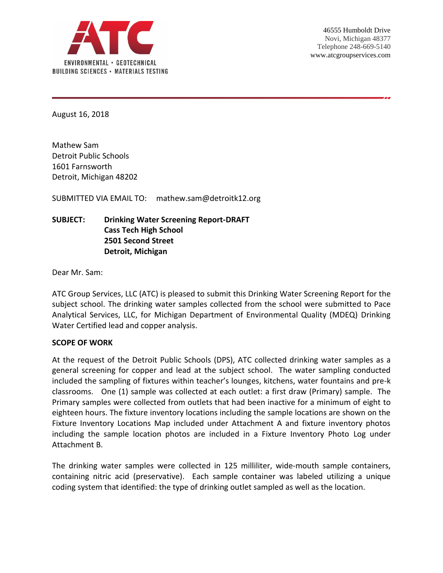

August 16, 2018

Mathew Sam Detroit Public Schools 1601 Farnsworth Detroit, Michigan 48202

SUBMITTED VIA EMAIL TO: mathew.sam@detroitk12.org

# **SUBJECT: Drinking Water Screening Report-DRAFT Cass Tech High School 2501 Second Street Detroit, Michigan**

Dear Mr. Sam:

ATC Group Services, LLC (ATC) is pleased to submit this Drinking Water Screening Report for the subject school. The drinking water samples collected from the school were submitted to Pace Analytical Services, LLC, for Michigan Department of Environmental Quality (MDEQ) Drinking Water Certified lead and copper analysis.

#### **SCOPE OF WORK**

At the request of the Detroit Public Schools (DPS), ATC collected drinking water samples as a general screening for copper and lead at the subject school. The water sampling conducted included the sampling of fixtures within teacher's lounges, kitchens, water fountains and pre-k classrooms. One (1) sample was collected at each outlet: a first draw (Primary) sample. The Primary samples were collected from outlets that had been inactive for a minimum of eight to eighteen hours. The fixture inventory locations including the sample locations are shown on the Fixture Inventory Locations Map included under Attachment A and fixture inventory photos including the sample location photos are included in a Fixture Inventory Photo Log under Attachment B.

The drinking water samples were collected in 125 milliliter, wide-mouth sample containers, containing nitric acid (preservative). Each sample container was labeled utilizing a unique coding system that identified: the type of drinking outlet sampled as well as the location.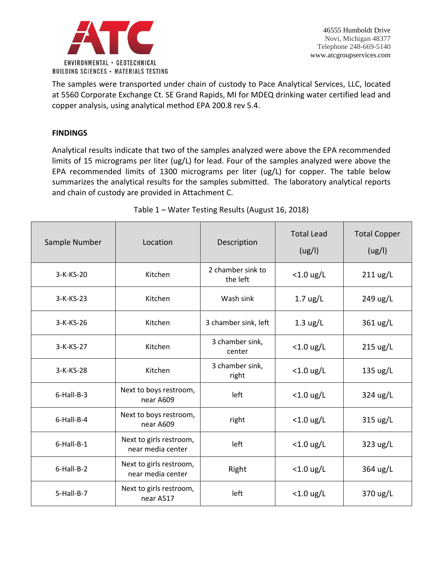

The samples were transported under chain of custody to Pace Analytical Services, LLC, located at 5560 Corporate Exchange Ct. SE Grand Rapids, MI for MDEQ drinking water certified lead and copper analysis, using analytical method EPA 200.8 rev 5.4.

#### **FINDINGS**

Analytical results indicate that two of the samples analyzed were above the EPA recommended limits of 15 micrograms per liter (ug/L) for lead. Four of the samples analyzed were above the EPA recommended limits of 1300 micrograms per liter (ug/L) for copper. The table below summarizes the analytical results for the samples submitted. The laboratory analytical reports and chain of custody are provided in Attachment C.

| Sample Number | Location                                     | Description                   | <b>Total Lead</b><br>(ug/l) | <b>Total Copper</b><br>(ug/l) |
|---------------|----------------------------------------------|-------------------------------|-----------------------------|-------------------------------|
| 3-K-KS-20     | Kitchen                                      | 2 chamber sink to<br>the left | $<$ 1.0 ug/L                | $211 \text{ ug/L}$            |
| $3-K-KS-23$   | Kitchen                                      | Wash sink                     | $1.7 \text{ ug/L}$          | 249 ug/L                      |
| $3-K-KS-26$   | Kitchen                                      | 3 chamber sink, left          | $1.3 \text{ ug/L}$          | 361 ug/L                      |
| 3-K-KS-27     | Kitchen                                      | 3 chamber sink,<br>center     | $<$ 1.0 ug/L                | 215 ug/L                      |
| 3-K-KS-28     | Kitchen                                      | 3 chamber sink,<br>right      | $<$ 1.0 ug/L                | $135 \text{ ug/L}$            |
| 6-Hall-B-3    | Next to boys restroom,<br>near A609          | left                          | $<$ 1.0 ug/L                | 324 ug/L                      |
| 6-Hall-B-4    | Next to boys restroom,<br>near A609          | right                         | $<$ 1.0 ug/L                | 315 ug/L                      |
| 6-Hall-B-1    | Next to girls restroom,<br>near media center | left                          | $<$ 1.0 ug/L                | 323 ug/L                      |
| 6-Hall-B-2    | Next to girls restroom,<br>near media center | Right                         | $<$ 1.0 ug/L                | 364 ug/L                      |
| 5-Hall-B-7    | Next to girls restroom,<br>near A517         | left                          | $<$ 1.0 ug/L                | 370 ug/L                      |

# Table 1 – Water Testing Results (August 16, 2018)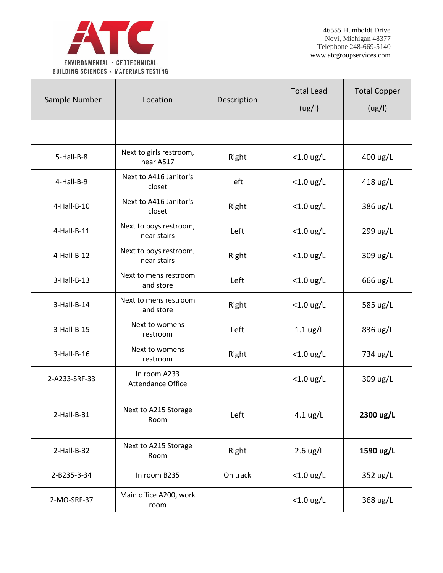

| Sample Number  | Location                                 | Description | <b>Total Lead</b><br>(ug/l) | <b>Total Copper</b><br>(ug/l) |
|----------------|------------------------------------------|-------------|-----------------------------|-------------------------------|
|                |                                          |             |                             |                               |
| 5-Hall-B-8     | Next to girls restroom,<br>near A517     | Right       | $<$ 1.0 ug/L                | 400 ug/L                      |
| 4-Hall-B-9     | Next to A416 Janitor's<br>closet         | left        | $<$ 1.0 ug/L                | 418 ug/L                      |
| 4-Hall-B-10    | Next to A416 Janitor's<br>closet         | Right       | $<$ 1.0 ug/L                | 386 ug/L                      |
| 4-Hall-B-11    | Next to boys restroom,<br>near stairs    | Left        | $<$ 1.0 ug/L                | 299 ug/L                      |
| $4$ -Hall-B-12 | Next to boys restroom,<br>near stairs    | Right       | $<$ 1.0 ug/L                | 309 ug/L                      |
| $3-Hall-B-13$  | Next to mens restroom<br>and store       | Left        | $<$ 1.0 ug/L                | 666 ug/L                      |
| $3-Hall-B-14$  | Next to mens restroom<br>and store       | Right       | $<$ 1.0 ug/L                | 585 ug/L                      |
| $3-Hall-B-15$  | Next to womens<br>restroom               | Left        | $1.1 \text{ ug/L}$          | 836 ug/L                      |
| $3-Hall-B-16$  | Next to womens<br>restroom               | Right       | $<$ 1.0 ug/L                | 734 ug/L                      |
| 2-A233-SRF-33  | In room A233<br><b>Attendance Office</b> |             | $<$ 1.0 ug/L                | 309 ug/L                      |
| $2$ -Hall-B-31 | Next to A215 Storage<br>Room             | Left        | $4.1 \text{ ug/L}$          | 2300 ug/L                     |
| $2$ -Hall-B-32 | Next to A215 Storage<br>Room             | Right       | $2.6 \text{ ug/L}$          | 1590 ug/L                     |
| 2-B235-B-34    | In room B235                             | On track    | $<$ 1.0 ug/L                | 352 ug/L                      |
| 2-MO-SRF-37    | Main office A200, work<br>room           |             | $<$ 1.0 ug/L                | 368 ug/L                      |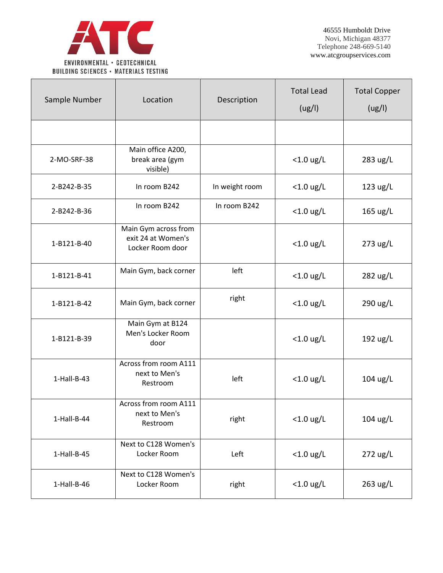

| Sample Number | Location                                                       | Description    | <b>Total Lead</b><br>(ug/l) | <b>Total Copper</b><br>(ug/l) |
|---------------|----------------------------------------------------------------|----------------|-----------------------------|-------------------------------|
|               |                                                                |                |                             |                               |
| 2-MO-SRF-38   | Main office A200,<br>break area (gym<br>visible)               |                | $<$ 1.0 ug/L                | 283 ug/L                      |
| 2-B242-B-35   | In room B242                                                   | In weight room | $<$ 1.0 ug/L                | 123 ug/L                      |
| 2-B242-B-36   | In room B242                                                   | In room B242   | $<$ 1.0 ug/L                | 165 ug/L                      |
| 1-B121-B-40   | Main Gym across from<br>exit 24 at Women's<br>Locker Room door |                | $<$ 1.0 ug/L                | 273 ug/L                      |
| 1-B121-B-41   | Main Gym, back corner                                          | left           | $<$ 1.0 ug/L                | 282 ug/L                      |
| 1-B121-B-42   | Main Gym, back corner                                          | right          | $<$ 1.0 ug/L                | 290 ug/L                      |
| 1-B121-B-39   | Main Gym at B124<br>Men's Locker Room<br>door                  |                | $<$ 1.0 ug/L                | 192 ug/L                      |
| $1-Hall-B-43$ | Across from room A111<br>next to Men's<br>Restroom             | left           | $<$ 1.0 ug/L                | $104$ ug/L                    |
| 1-Hall-B-44   | Across from room A111<br>next to Men's<br>Restroom             | right          | $<$ 1.0 ug/L                | 104 ug/L                      |
| $1-Hall-B-45$ | Next to C128 Women's<br>Locker Room                            | Left           | $<$ 1.0 ug/L                | 272 ug/L                      |
| 1-Hall-B-46   | Next to C128 Women's<br>Locker Room                            | right          | $<$ 1.0 ug/L                | 263 ug/L                      |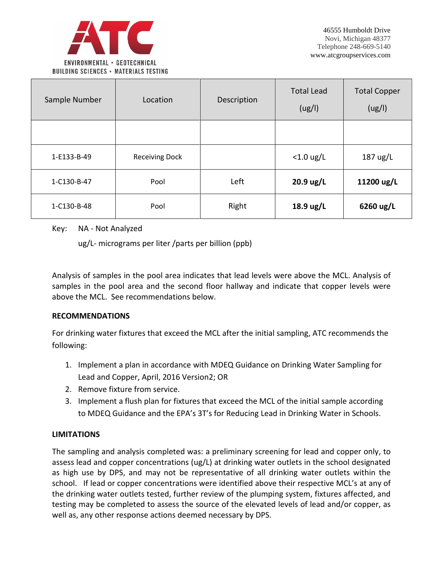

| Sample Number | Location              | Description | <b>Total Lead</b><br>(ug/l) | <b>Total Copper</b><br>(ug/l) |
|---------------|-----------------------|-------------|-----------------------------|-------------------------------|
|               |                       |             |                             |                               |
| 1-E133-B-49   | <b>Receiving Dock</b> |             | $<$ 1.0 ug/L                | 187 ug/L                      |
| 1-C130-B-47   | Pool                  | Left        | 20.9 ug/L                   | 11200 ug/L                    |
| 1-C130-B-48   | Pool                  | Right       | $18.9 \text{ ug/L}$         | 6260 ug/L                     |

Key: NA - Not Analyzed

ug/L- micrograms per liter /parts per billion (ppb)

Analysis of samples in the pool area indicates that lead levels were above the MCL. Analysis of samples in the pool area and the second floor hallway and indicate that copper levels were above the MCL. See recommendations below.

#### **RECOMMENDATIONS**

For drinking water fixtures that exceed the MCL after the initial sampling, ATC recommends the following:

- 1. Implement a plan in accordance with MDEQ Guidance on Drinking Water Sampling for Lead and Copper, April, 2016 Version2; OR
- 2. Remove fixture from service.
- 3. Implement a flush plan for fixtures that exceed the MCL of the initial sample according to MDEQ Guidance and the EPA's 3T's for Reducing Lead in Drinking Water in Schools.

# **LIMITATIONS**

The sampling and analysis completed was: a preliminary screening for lead and copper only, to assess lead and copper concentrations (ug/L) at drinking water outlets in the school designated as high use by DPS, and may not be representative of all drinking water outlets within the school. If lead or copper concentrations were identified above their respective MCL's at any of the drinking water outlets tested, further review of the plumping system, fixtures affected, and testing may be completed to assess the source of the elevated levels of lead and/or copper, as well as, any other response actions deemed necessary by DPS.